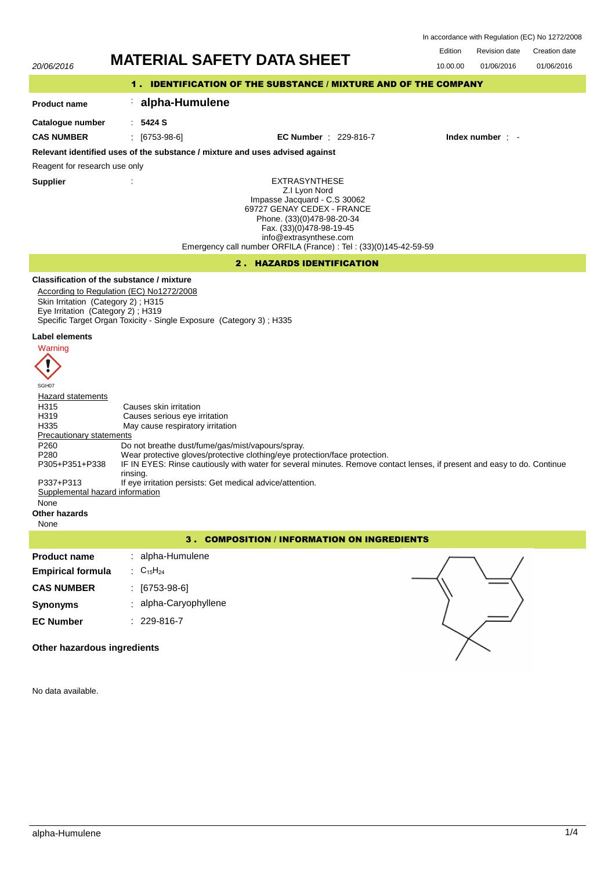Edition Revision date Creation date In accordance with Regulation (EC) No 1272/2008

01/06/2016

# 20/06/2016 **MATERIAL SAFETY DATA SHEET** 10.00.00 01/06/2016

# 1 . IDENTIFICATION OF THE SUBSTANCE / MIXTURE AND OF THE COMPANY

# : **alpha-Humulene**

**Catalogue number**

**Product name**

: **5424 S**

**CAS NUMBER** : [6753-98-6] **EC Number** : 229-816-7 **Index number** : -

# **Relevant identified uses of the substance / mixture and uses advised against**

Reagent for research use only

**Supplier** :

EXTRASYNTHESE Z.I Lyon Nord Impasse Jacquard - C.S 30062 69727 GENAY CEDEX - FRANCE Phone. (33)(0)478-98-20-34 Fax. (33)(0)478-98-19-45 info@extrasynthese.com Emergency call number ORFILA (France) : Tel : (33)(0)145-42-59-59

# 2 . HAZARDS IDENTIFICATION

# **Classification of the substance / mixture**

According to Regulation (EC) No1272/2008 Skin Irritation (Category 2) ; H315 Eye Irritation (Category 2) ; H319 Specific Target Organ Toxicity - Single Exposure (Category 3) ; H335

#### **Label elements**



SGH07 **Hazard statements** H315 Causes skin irritation<br>
H319 Causes serious eve in H319 Causes serious eye irritation<br>H335 May cause respiratory irritation May cause respiratory irritation Precautionary statements P260 Do not breathe dust/fume/gas/mist/vapours/spray.<br>P280 Wear protective gloves/protective clothing/eye pro Wear protective gloves/protective clothing/eye protection/face protection. IF IN EYES: Rinse cautiously with water for several minutes. Remove contact lenses, if present and easy to do. Continue rinsing. P305+P351+P338 P337+P313 If eye irritation persists: Get medical advice/attention.<br>Supplemental hazard information Supplemental hazard None **Other hazards** None

# 3 . COMPOSITION / INFORMATION ON INGREDIENTS

| <b>Product name</b>      | : alpha-Humulene                             |
|--------------------------|----------------------------------------------|
| <b>Empirical formula</b> | $\therefore$ C <sub>15</sub> H <sub>24</sub> |
| <b>CAS NUMBER</b>        | $: [6753-98-6]$                              |
| Synonyms                 | : alpha-Caryophyllene                        |
| <b>EC Number</b>         | $: 229-816-7$                                |



**Other hazardous ingredients**

No data available.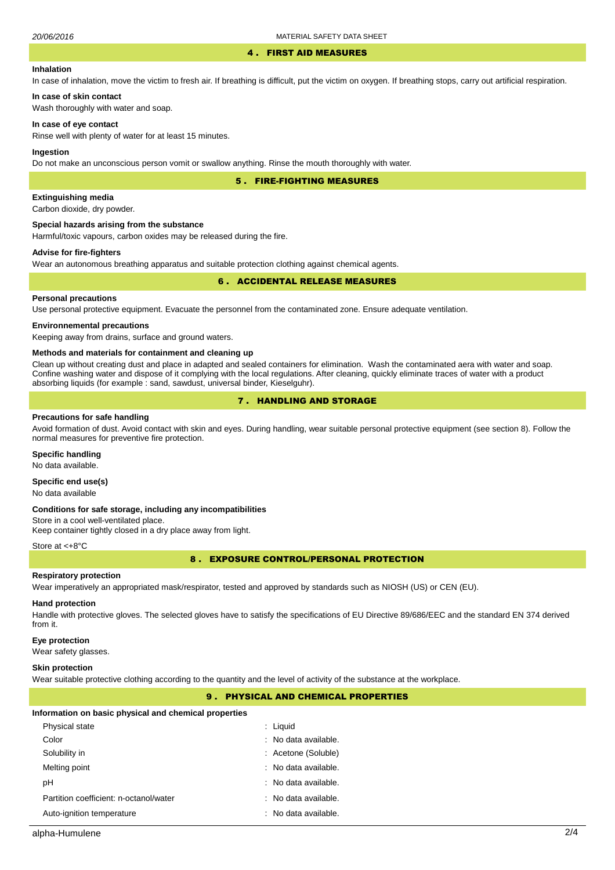#### 4 . FIRST AID MEASURES

#### **Inhalation**

In case of inhalation, move the victim to fresh air. If breathing is difficult, put the victim on oxygen. If breathing stops, carry out artificial respiration.

**In case of skin contact** Wash thoroughly with water and soap.

#### **In case of eye contact**

Rinse well with plenty of water for at least 15 minutes.

#### **Ingestion**

Do not make an unconscious person vomit or swallow anything. Rinse the mouth thoroughly with water.

5 . FIRE-FIGHTING MEASURES

#### **Extinguishing media**

Carbon dioxide, dry powder.

#### **Special hazards arising from the substance**

Harmful/toxic vapours, carbon oxides may be released during the fire.

#### **Advise for fire-fighters**

Wear an autonomous breathing apparatus and suitable protection clothing against chemical agents.

#### 6 . ACCIDENTAL RELEASE MEASURES

#### **Personal precautions**

Use personal protective equipment. Evacuate the personnel from the contaminated zone. Ensure adequate ventilation.

#### **Environnemental precautions**

Keeping away from drains, surface and ground waters.

#### **Methods and materials for containment and cleaning up**

Clean up without creating dust and place in adapted and sealed containers for elimination. Wash the contaminated aera with water and soap. Confine washing water and dispose of it complying with the local regulations. After cleaning, quickly eliminate traces of water with a product absorbing liquids (for example : sand, sawdust, universal binder, Kieselguhr).

# 7 . HANDLING AND STORAGE

#### **Precautions for safe handling**

Avoid formation of dust. Avoid contact with skin and eyes. During handling, wear suitable personal protective equipment (see section 8). Follow the normal measures for preventive fire protection.

#### **Specific handling**

No data available.

### **Specific end use(s)**

No data available

#### **Conditions for safe storage, including any incompatibilities**

Store in a cool well-ventilated place. Keep container tightly closed in a dry place away from light.

#### Store at <+8°C

8 . EXPOSURE CONTROL/PERSONAL PROTECTION

#### **Respiratory protection**

Wear imperatively an appropriated mask/respirator, tested and approved by standards such as NIOSH (US) or CEN (EU).

### **Hand protection**

Handle with protective gloves. The selected gloves have to satisfy the specifications of EU Directive 89/686/EEC and the standard EN 374 derived from it.

#### **Eye protection**

Wear safety glasses.

#### **Skin protection**

Wear suitable protective clothing according to the quantity and the level of activity of the substance at the workplace.

# 9 . PHYSICAL AND CHEMICAL PROPERTIES

#### **Information on basic physical and chemical properties**

| Physical state                         | $:$ Liquid                      |
|----------------------------------------|---------------------------------|
| Color                                  | : No data available.            |
| Solubility in                          | : Acetone (Soluble)             |
| Melting point                          | : No data available.            |
| рH                                     | : No data available.            |
| Partition coefficient: n-octanol/water | : No data available.            |
| Auto-ignition temperature              | $\therefore$ No data available. |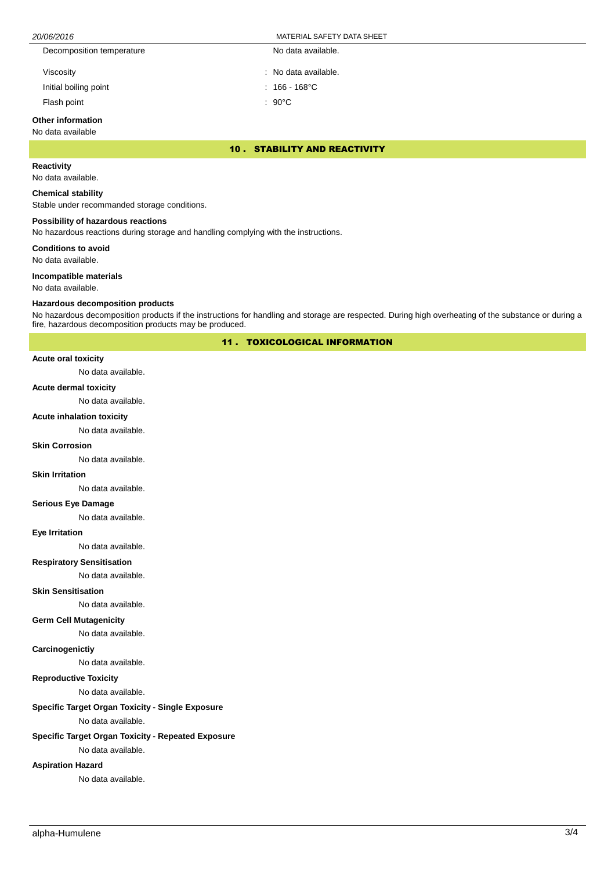| 20/06/2016                | MATERIAL SAFETY DATA SHEET |  |
|---------------------------|----------------------------|--|
| Decomposition temperature | No data available.         |  |
| Viscosity                 | : No data available.       |  |
| Initial boiling point     | 166 - 168°C                |  |

Flash point : 90°C

# **Other information**

### No data available

10 . STABILITY AND REACTIVITY

# **Reactivity**

No data available.

#### **Chemical stability**

Stable under recommanded storage conditions.

#### **Possibility of hazardous reactions**

No hazardous reactions during storage and handling complying with the instructions.

**Conditions to avoid**

No data available.

#### **Incompatible materials**

No data available.

#### **Hazardous decomposition products**

No hazardous decomposition products if the instructions for handling and storage are respected. During high overheating of the substance or during a fire, hazardous decomposition products may be produced.

11 . TOXICOLOGICAL INFORMATION

#### **Acute oral toxicity**

No data available.

#### **Acute dermal toxicity**

No data available.

#### **Acute inhalation toxicity**

No data available.

#### **Skin Corrosion**

No data available.

#### **Skin Irritation**

No data available.

### **Serious Eye Damage**

No data available.

#### **Eye Irritation**

No data available.

# **Respiratory Sensitisation**

No data available.

#### **Skin Sensitisation**

No data available.

#### **Germ Cell Mutagenicity**

No data available.

#### **Carcinogenictiy**

No data available.

# **Reproductive Toxicity**

No data available.

# **Specific Target Organ Toxicity - Single Exposure**

No data available.

# **Specific Target Organ Toxicity - Repeated Exposure**

No data available.

# **Aspiration Hazard**

No data available.